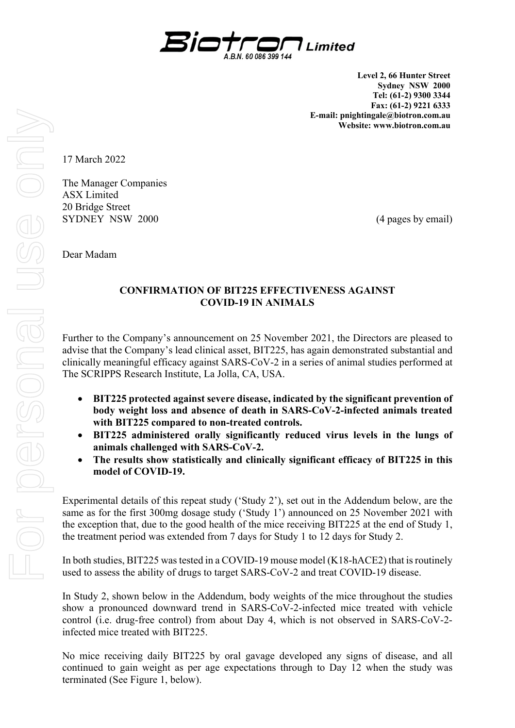

**Level 2, 66 Hunter Street Sydney NSW 2000 Tel: (61-2) 9300 3344 Fax: (61-2) 9221 6333 E-mail: pnightingale@biotron.com.au Website: www.biotron.com.au** 

17 March 2022

The Manager Companies ASX Limited 20 Bridge Street SYDNEY NSW 2000 (4 pages by email)

Dear Madam

# **CONFIRMATION OF BIT225 EFFECTIVENESS AGAINST COVID-19 IN ANIMALS**

Further to the Company's announcement on 25 November 2021, the Directors are pleased to advise that the Company's lead clinical asset, BIT225, has again demonstrated substantial and clinically meaningful efficacy against SARS-CoV-2 in a series of animal studies performed at The SCRIPPS Research Institute, La Jolla, CA, USA.

- **BIT225 protected against severe disease, indicated by the significant prevention of body weight loss and absence of death in SARS-CoV-2-infected animals treated with BIT225 compared to non-treated controls.**
- **BIT225 administered orally significantly reduced virus levels in the lungs of animals challenged with SARS-CoV-2.**
- **The results show statistically and clinically significant efficacy of BIT225 in this model of COVID-19.**

Experimental details of this repeat study ('Study 2'), set out in the Addendum below, are the same as for the first 300mg dosage study ('Study 1') announced on 25 November 2021 with the exception that, due to the good health of the mice receiving BIT225 at the end of Study 1, the treatment period was extended from 7 days for Study 1 to 12 days for Study 2.

In both studies, BIT225 was tested in a COVID-19 mouse model (K18-hACE2) that is routinely used to assess the ability of drugs to target SARS-CoV-2 and treat COVID-19 disease.

In Study 2, shown below in the Addendum, body weights of the mice throughout the studies show a pronounced downward trend in SARS-CoV-2-infected mice treated with vehicle control (i.e. drug-free control) from about Day 4, which is not observed in SARS-CoV-2 infected mice treated with BIT225.

No mice receiving daily BIT225 by oral gavage developed any signs of disease, and all continued to gain weight as per age expectations through to Day 12 when the study was terminated (See Figure 1, below).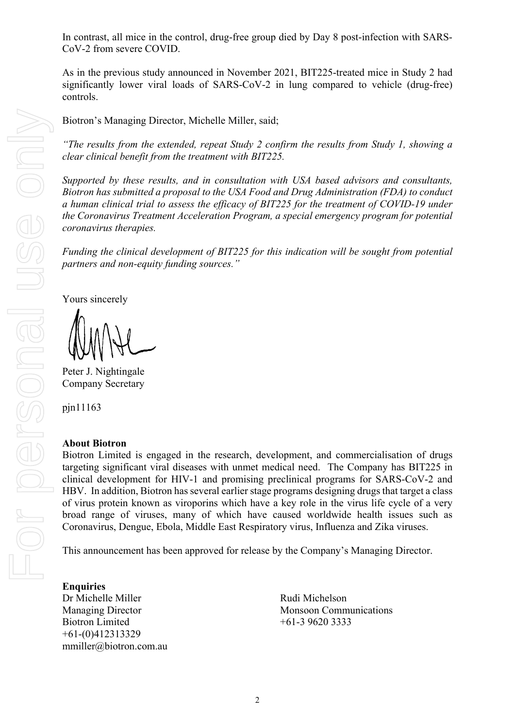In contrast, all mice in the control, drug-free group died by Day 8 post-infection with SARS-CoV-2 from severe COVID.

As in the previous study announced in November 2021, BIT225-treated mice in Study 2 had significantly lower viral loads of SARS-CoV-2 in lung compared to vehicle (drug-free) controls.

Biotron's Managing Director, Michelle Miller, said;

*"The results from the extended, repeat Study 2 confirm the results from Study 1, showing a clear clinical benefit from the treatment with BIT225.* 

*Supported by these results, and in consultation with USA based advisors and consultants, Biotron has submitted a proposal to the USA Food and Drug Administration (FDA) to conduct a human clinical trial to assess the efficacy of BIT225 for the treatment of COVID-19 under the Coronavirus Treatment Acceleration Program, a special emergency program for potential coronavirus therapies.* 

*Funding the clinical development of BIT225 for this indication will be sought from potential partners and non-equity funding sources."* 

Yours sincerely

Peter J. Nightingale Company Secretary

pjn11163

## **About Biotron**

Biotron Limited is engaged in the research, development, and commercialisation of drugs targeting significant viral diseases with unmet medical need. The Company has BIT225 in clinical development for HIV-1 and promising preclinical programs for SARS-CoV-2 and HBV. In addition, Biotron has several earlier stage programs designing drugs that target a class of virus protein known as viroporins which have a key role in the virus life cycle of a very broad range of viruses, many of which have caused worldwide health issues such as Coronavirus, Dengue, Ebola, Middle East Respiratory virus, Influenza and Zika viruses.

This announcement has been approved for release by the Company's Managing Director.

# **Enquiries**

Dr Michelle Miller Rudi Michelson Biotron Limited +61-3 9620 3333 +61-(0)412313329 mmiller@biotron.com.au

Managing Director Monsoon Communications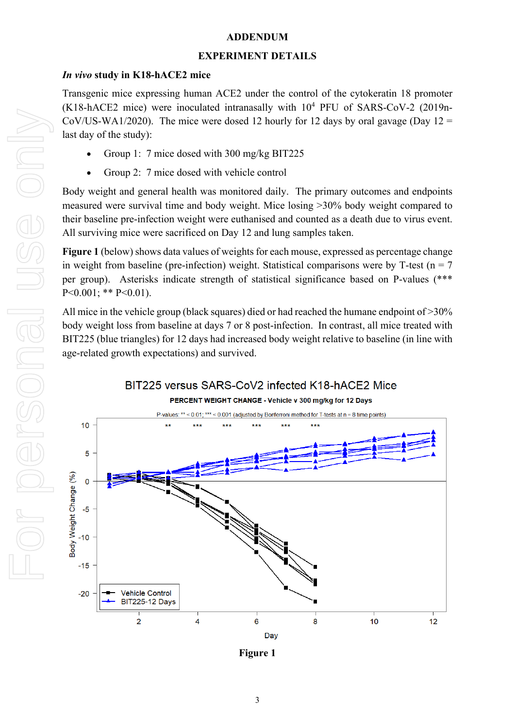## **ADDENDUM**

#### **EXPERIMENT DETAILS**

## *In vivo* **study in K18-hACE2 mice**

Transgenic mice expressing human ACE2 under the control of the cytokeratin 18 promoter  $(K18-hACE2$  mice) were inoculated intranasally with  $10^4$  PFU of SARS-CoV-2 (2019n-CoV/US-WA1/2020). The mice were dosed 12 hourly for 12 days by oral gavage (Day  $12 =$ last day of the study):

- Group 1: 7 mice dosed with 300 mg/kg BIT225
- Group 2: 7 mice dosed with vehicle control

Body weight and general health was monitored daily. The primary outcomes and endpoints measured were survival time and body weight. Mice losing >30% body weight compared to their baseline pre-infection weight were euthanised and counted as a death due to virus event. All surviving mice were sacrificed on Day 12 and lung samples taken.

**Figure 1** (below) shows data values of weights for each mouse, expressed as percentage change in weight from baseline (pre-infection) weight. Statistical comparisons were by T-test ( $n = 7$ ) per group). Asterisks indicate strength of statistical significance based on P-values (\*\*\*  $P<0.001$ ; \*\*  $P<0.01$ ).

All mice in the vehicle group (black squares) died or had reached the humane endpoint of >30% body weight loss from baseline at days 7 or 8 post-infection. In contrast, all mice treated with BIT225 (blue triangles) for 12 days had increased body weight relative to baseline (in line with age-related growth expectations) and survived.



PERCENT WEIGHT CHANGE - Vehicle v 300 mg/kg for 12 Days



**Figure 1**